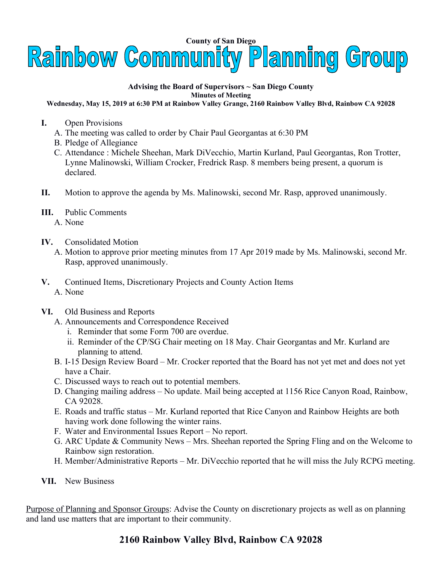

## **Advising the Board of Supervisors ~ San Diego County Minutes of Meeting**

## **Wednesday, May 15, 2019 at 6:30 PM at Rainbow Valley Grange, 2160 Rainbow Valley Blvd, Rainbow CA 92028**

- **I.** Open Provisions
	- A. The meeting was called to order by Chair Paul Georgantas at 6:30 PM
	- B. Pledge of Allegiance
	- C. Attendance : Michele Sheehan, Mark DiVecchio, Martin Kurland, Paul Georgantas, Ron Trotter, Lynne Malinowski, William Crocker, Fredrick Rasp. 8 members being present, a quorum is declared.
- **II.** Motion to approve the agenda by Ms. Malinowski, second Mr. Rasp, approved unanimously.
- **III.** Public Comments A. None
- **IV.** Consolidated Motion
	- A. Motion to approve prior meeting minutes from 17 Apr 2019 made by Ms. Malinowski, second Mr. Rasp, approved unanimously.
- **V.** Continued Items, Discretionary Projects and County Action Items A. None
- **VI.** Old Business and Reports
	- A. Announcements and Correspondence Received
		- i. Reminder that some Form 700 are overdue.
		- ii. Reminder of the CP/SG Chair meeting on 18 May. Chair Georgantas and Mr. Kurland are planning to attend.
	- B. I-15 Design Review Board Mr. Crocker reported that the Board has not yet met and does not yet have a Chair.
	- C. Discussed ways to reach out to potential members.
	- D. Changing mailing address No update. Mail being accepted at 1156 Rice Canyon Road, Rainbow, CA 92028.
	- E. Roads and traffic status Mr. Kurland reported that Rice Canyon and Rainbow Heights are both having work done following the winter rains.
	- F. Water and Environmental Issues Report No report.
	- G. ARC Update & Community News Mrs. Sheehan reported the Spring Fling and on the Welcome to Rainbow sign restoration.
	- H. Member/Administrative Reports Mr. DiVecchio reported that he will miss the July RCPG meeting.
- **VII.** New Business

Purpose of Planning and Sponsor Groups: Advise the County on discretionary projects as well as on planning and land use matters that are important to their community.

## **2160 Rainbow Valley Blvd, Rainbow CA 92028**